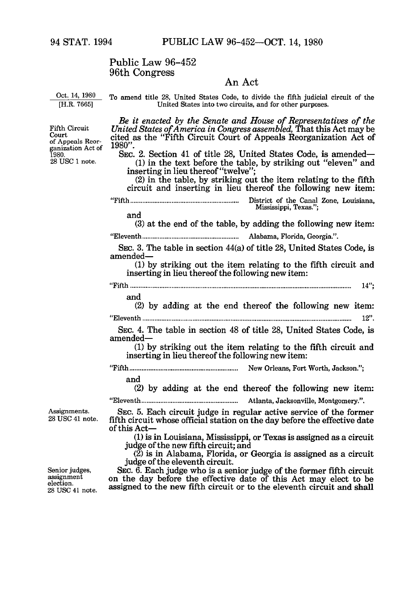## Public Law 96-452 96th Congress

## An Act

Oct. 14, 1980 [H.R. 7665]

Fifth Circuit Court

1980. 28 USC 1 note.

of Appeals Reorganization Act of

To amend title 28, United States Code, to divide the fifth judicial circuit of the United States into two circuits, and for other purposes.

*Be it enacted by the Senate and House of Representatives of the United States ofAmerica in Congress assembled,* That this Act may be cited as the "Fifth Circuit Court of Appeals Reorganization Act of 1980".

SEC. 2. Section 41 of title 28, United States Code, is amended-**(1)** in the text before the table, by striking out "eleven" and inserting in lieu thereof "twelve";

(2) in the table, by striking out the item relating to the fifth circuit and inserting in lieu thereof the following new item:

"Fifth **...............................................................** District of the Canal Zone, Louisiana, Mississippi, Texas."; and

(3) at the end of the table, by adding the following new item: "Eleventh **........................................................** Alabama, Florida, Georgia.".

SEC. 3. The table in section 44(a) of title 28, United States Code, is amended-

**(1)** by striking out the item relating to the fifth circuit and inserting in lieu thereof the following new item:

"F ifth **................................................................................................................................** 14";

and

(2) by adding at the end thereof the following new item: "E leventh **.........................................................................................................................** 12".

SEC. 4. The table in section 48 of title 28, United States Code, is amended-

**(1)** by striking out the item relating to the fifth circuit and inserting in lieu thereof the following new item:

"Fifth **...............................................................** New Orleans, Fort W orth, Jackson.";

and

(2) by adding at the end thereof the following new item: "Eleventh **........................................................** Atlanta, Jacksonville, Montgomery.".

Assignments. 28 USC 41 note.

SEC. **5.** Each circuit judge in regular active service of the former fifth circuit whose official station on the day before the effective date of this Act-

*(1)* is in Louisiana, Mississippi, or Texas is assigned as a circuit judge of the new fifth circuit; and

(2) is in Alabama, Florida, or Georgia is assigned as a circuit judge of the eleventh circuit.

SEC. 6. Each judge who is a senior judge of the former fifth circuit on the day before the effective date of this Act may elect to be assigned to the new **fifth** circuit or to the eleventh circuit and shall

Senior judges, assignment

election. 28 USC 41 note.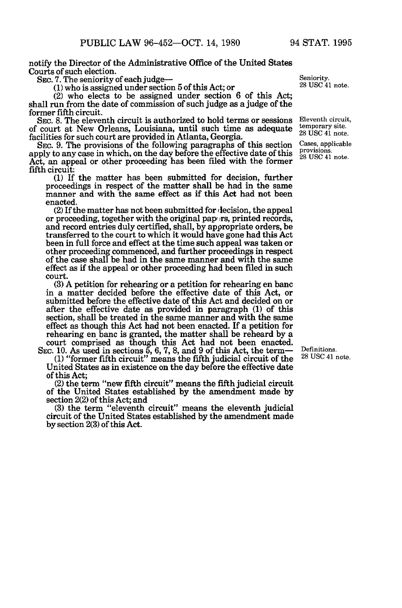notify the Director of the Administrative Office of the United States Courts of such election.

SEC. 7. The seniority of each judge-

**(1)** who is assigned under section 5 of this Act; or

(2) who elects to be assigned under section 6 of this Act; shall run from the date of commission of such judge as a judge of the former fifth circuit.

**SEC.** 8. The eleventh circuit is authorized to hold terms or sessions of court at New Orleans, Louisiana, until such time as adequate facilities for such court are provided in Atlanta, Georgia.

SEC. 9. The provisions of the following paragraphs of this section apply to any case in which, on the day before the effective date of this Act, an appeal or other proceeding has been filed with the former fifth circuit:

(1) If the matter has been submitted for decision, further proceedings in respect of the matter shall be had in the same manner and with the same effect as if this Act had not been enacted.

(2) If the matter has not been submitted for decision, the appeal or proceeding, together with the original papters, printed records, and record entries duly certified, shall, by appropriate orders, be transferred to the court to which it would have gone had this Act been in full force and effect at the time such appeal was taken or other proceeding commenced, and further proceedings in respect of the case shall be had in the same manner and with the same effect as if the appeal or other proceeding had been filed in such court.

(3) A petition for rehearing or a petition for rehearing en banc in a matter decided before the effective date of this Act, or submitted before the effective date of this Act and decided on or after the effective date as provided in paragraph **(1)** of this section, shall be treated in the same manner and with the same effect as though this Act had not been enacted. If a petition for rehearing en banc is granted, the matter shall be reheard by a court comprised as though this Act had not been enacted.

SEC. 10. As used in sections 5, 6, 7, 8, and 9 of this Act, the term-**(1)** "former fifth circuit" means the fifth judicial circuit of the United States as in existence on the day before the effective date of this Act;

(2) the term "new fifth circuit" means the fifth judicial circuit of the United States established by the amendment made by section 2(2) of this Act; and

(3) the term "eleventh circuit" means the eleventh judicial circuit of the United States established by the amendment made by section 2(3) of this Act.

Seniority. 28 USC 41 note.

Eleventh circuit, temporary site. 28 USC 41 note.

Cases, applicable provisions. 28 USC 41 note.

Definitions. 28 USC 41 note.